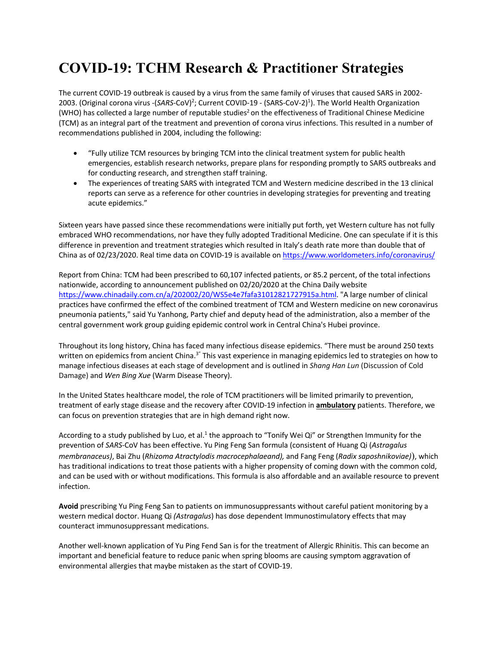# **COVID-19: TCHM Research & Practitioner Strategies**

The current COVID-19 outbreak is caused by a virus from the same family of viruses that caused SARS in 2002- 2003. (Original corona virus -(SARS-CoV)<sup>2</sup>; Current COVID-19 - (SARS-CoV-2)<sup>1</sup>). The World Health Organization (WHO) has collected a large number of reputable studies<sup>2</sup> on the effectiveness of Traditional Chinese Medicine (TCM) as an integral part of the treatment and prevention of corona virus infections. This resulted in a number of recommendations published in 2004, including the following:

- "Fully utilize TCM resources by bringing TCM into the clinical treatment system for public health emergencies, establish research networks, prepare plans for responding promptly to SARS outbreaks and for conducting research, and strengthen staff training.
- The experiences of treating SARS with integrated TCM and Western medicine described in the 13 clinical reports can serve as a reference for other countries in developing strategies for preventing and treating acute epidemics."

Sixteen years have passed since these recommendations were initially put forth, yet Western culture has not fully embraced WHO recommendations, nor have they fully adopted Traditional Medicine. One can speculate if it is this difference in prevention and treatment strategies which resulted in Italy's death rate more than double that of China as of 02/23/2020. Real time data on COVID-19 is available on https://www.worldometers.info/coronavirus/

Report from China: TCM had been prescribed to 60,107 infected patients, or 85.2 percent, of the total infections nationwide, according to announcement published on 02/20/2020 at the China Daily website https://www.chinadaily.com.cn/a/202002/20/WS5e4e7fafa31012821727915a.html. "A large number of clinical practices have confirmed the effect of the combined treatment of TCM and Western medicine on new coronavirus pneumonia patients," said Yu Yanhong, Party chief and deputy head of the administration, also a member of the central government work group guiding epidemic control work in Central China's Hubei province.

Throughout its long history, China has faced many infectious disease epidemics. "There must be around 250 texts written on epidemics from ancient China.<sup>3"</sup> This vast experience in managing epidemics led to strategies on how to manage infectious diseases at each stage of development and is outlined in *Shang Han Lun* (Discussion of Cold Damage) and *Wen Bing Xue* (Warm Disease Theory).

In the United States healthcare model, the role of TCM practitioners will be limited primarily to prevention, treatment of early stage disease and the recovery after COVID-19 infection in **ambulatory** patients. Therefore, we can focus on prevention strategies that are in high demand right now.

According to a study published by Luo, et al.<sup>1</sup> the approach to "Tonify Wei Qi" or Strengthen Immunity for the prevention of *SARS*-CoV has been effective. Yu Ping Feng San formula (consistent of Huang Qi (*Astragalus membranaceus)*, Bai Zhu (*Rhizoma Atractylodis macrocephalaeand),* and Fang Feng (*Radix saposhnikoviae)*), which has traditional indications to treat those patients with a higher propensity of coming down with the common cold, and can be used with or without modifications. This formula is also affordable and an available resource to prevent infection.

**Avoid** prescribing Yu Ping Feng San to patients on immunosuppressants without careful patient monitoring by a western medical doctor. Huang Qi *(Astragalus*) has dose dependent Immunostimulatory effects that may counteract immunosuppressant medications.

Another well-known application of Yu Ping Fend San is for the treatment of Allergic Rhinitis. This can become an important and beneficial feature to reduce panic when spring blooms are causing symptom aggravation of environmental allergies that maybe mistaken as the start of COVID-19.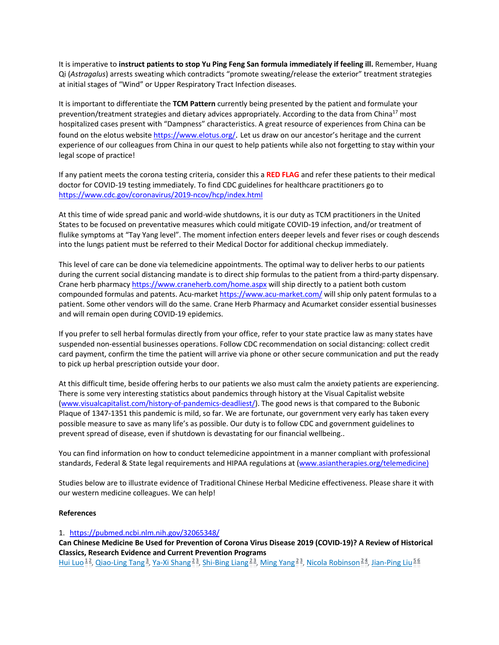It is imperative to **instruct patients to stop Yu Ping Feng San formula immediately if feeling ill.** Remember, Huang Qi (*Astragalus*) arrests sweating which contradicts "promote sweating/release the exterior" treatment strategies at initial stages of "Wind" or Upper Respiratory Tract Infection diseases.

It is important to differentiate the **TCM Pattern** currently being presented by the patient and formulate your prevention/treatment strategies and dietary advices appropriately. According to the data from China<sup>17</sup> most hospitalized cases present with "Dampness" characteristics. A great resource of experiences from China can be found on the elotus website https://www.elotus.org/. Let us draw on our ancestor's heritage and the current experience of our colleagues from China in our quest to help patients while also not forgetting to stay within your legal scope of practice!

If any patient meets the corona testing criteria, consider this a **RED FLAG** and refer these patients to their medical doctor for COVID-19 testing immediately. To find CDC guidelines for healthcare practitioners go to https://www.cdc.gov/coronavirus/2019-ncov/hcp/index.html

At this time of wide spread panic and world-wide shutdowns, it is our duty as TCM practitioners in the United States to be focused on preventative measures which could mitigate COVID-19 infection, and/or treatment of flulike symptoms at "Tay Yang level". The moment infection enters deeper levels and fever rises or cough descends into the lungs patient must be referred to their Medical Doctor for additional checkup immediately.

This level of care can be done via telemedicine appointments. The optimal way to deliver herbs to our patients during the current social distancing mandate is to direct ship formulas to the patient from a third-party dispensary. Crane herb pharmacy https://www.craneherb.com/home.aspx will ship directly to a patient both custom compounded formulas and patents. Acu-market https://www.acu-market.com/ will ship only patent formulas to a patient. Some other vendors will do the same. Crane Herb Pharmacy and Acumarket consider essential businesses and will remain open during COVID-19 epidemics.

If you prefer to sell herbal formulas directly from your office, refer to your state practice law as many states have suspended non-essential businesses operations. Follow CDC recommendation on social distancing: collect credit card payment, confirm the time the patient will arrive via phone or other secure communication and put the ready to pick up herbal prescription outside your door.

At this difficult time, beside offering herbs to our patients we also must calm the anxiety patients are experiencing. There is some very interesting statistics about pandemics through history at the Visual Capitalist website (www.visualcapitalist.com/history-of-pandemics-deadliest/). The good news is that compared to the Bubonic Plaque of 1347-1351 this pandemic is mild, so far. We are fortunate, our government very early has taken every possible measure to save as many life's as possible. Our duty is to follow CDC and government guidelines to prevent spread of disease, even if shutdown is devastating for our financial wellbeing..

You can find information on how to conduct telemedicine appointment in a manner compliant with professional standards, Federal & State legal requirements and HIPAA regulations at (www.asiantherapies.org/telemedicine)

Studies below are to illustrate evidence of Traditional Chinese Herbal Medicine effectiveness. Please share it with our western medicine colleagues. We can help!

#### **References**

1. https://pubmed.ncbi.nlm.nih.gov/32065348/

**Can Chinese Medicine Be Used for Prevention of Corona Virus Disease 2019 (COVID-19)? A Review of Historical Classics, Research Evidence and Current Prevention Programs**

Hui Luo<sup>12</sup>, Qiao-Ling Tang<sup>3</sup>, Ya-Xi Shang<sup>23</sup>, Shi-Bing Liang<sup>23</sup>, Ming Yang<sup>23</sup>, Nicola Robinson<sup>24</sup>, Jian-Ping Liu<sup>56</sup>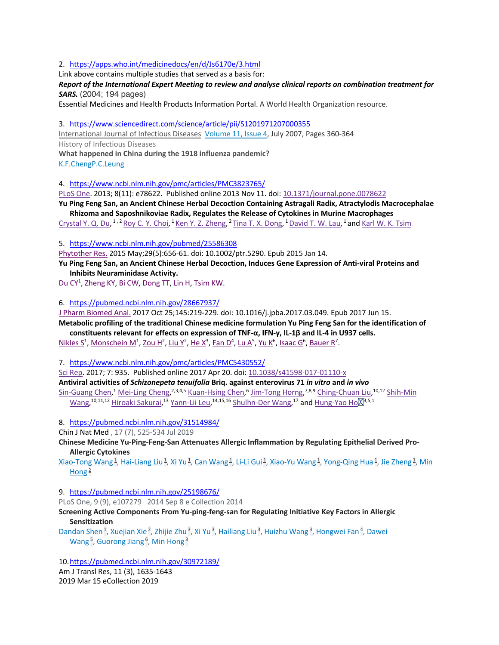#### 2. https://apps.who.int/medicinedocs/en/d/Js6170e/3.html

Link above contains multiple studies that served as a basis for:

*Report of the International Expert Meeting to review and analyse clinical reports on combination treatment for SARS.* (2004; 194 pages)

Essential Medicines and Health Products Information Portal. A World Health Organization resource.

3. https://www.sciencedirect.com/science/article/pii/S1201971207000355

International Journal of Infectious Diseases Volume 11, Issue 4, July 2007, Pages 360-364 History of Infectious Diseases

**What happened in China during the 1918 influenza pandemic?** K.F.ChengP.C.Leung

4. https://www.ncbi.nlm.nih.gov/pmc/articles/PMC3823765/

PLoS One. 2013; 8(11): e78622. Published online 2013 Nov 11. doi: 10.1371/journal.pone.0078622

**Yu Ping Feng San, an Ancient Chinese Herbal Decoction Containing Astragali Radix, Atractylodis Macrocephalae Rhizoma and Saposhnikoviae Radix, Regulates the Release of Cytokines in Murine Macrophages**

Crystal Y. Q. Du, <sup>1, 2</sup> Roy C. Y. Choi, <sup>1</sup> Ken Y. Z. Zheng, <sup>2</sup> Tina T. X. Dong, <sup>1</sup> David T. W. Lau, <sup>1</sup> and Karl W. K. Tsim

5. https://www.ncbi.nlm.nih.gov/pubmed/25586308

Phytother Res. 2015 May;29(5):656-61. doi: 10.1002/ptr.5290. Epub 2015 Jan 14.

**Yu Ping Feng San, an Ancient Chinese Herbal Decoction, Induces Gene Expression of Anti-viral Proteins and Inhibits Neuraminidase Activity.**

Du CY<sup>1</sup>, Zheng KY, Bi CW, Dong TT, Lin H, Tsim KW.

6. https://pubmed.ncbi.nlm.nih.gov/28667937/

J Pharm Biomed Anal. 2017 Oct 25;145:219-229. doi: 10.1016/j.jpba.2017.03.049. Epub 2017 Jun 15. **Metabolic profiling of the traditional Chinese medicine formulation Yu Ping Feng San for the identification of** 

**constituents relevant for effects on expression of TNF-α, IFN-γ, IL-1β and IL-4 in U937 cells.** Nikles S<sup>1</sup>, Monschein M<sup>1</sup>, Zou H<sup>2</sup>, Liu Y<sup>2</sup>, He X<sup>3</sup>, Fan D<sup>4</sup>, Lu A<sup>5</sup>, Yu K<sup>6</sup>, Isaac G<sup>6</sup>, Bauer R<sup>7</sup>.

7. https://www.ncbi.nlm.nih.gov/pmc/articles/PMC5430552/

Sci Rep. 2017; 7: 935. Published online 2017 Apr 20. doi: 10.1038/s41598-017-01110-x

**Antiviral activities of** *Schizonepeta tenuifolia* **Briq. against enterovirus 71** *in vitro* **and** *in vivo* Sin-Guang Chen,<sup>1</sup> Mei-Ling Cheng,<sup>2,3,4,5</sup> Kuan-Hsing Chen,<sup>6</sup> Jim-Tong Horng,<sup>7,8,9</sup> Ching-Chuan Liu,<sup>10,12</sup> Shih-Min Wang,<sup>10,11,12</sup> Hiroaki Sakurai,<sup>13</sup> Yann-Lii Leu,<sup>14,15,16</sup> Shulhn-Der Wang,<sup>17</sup> and <u>Hung-Yao Ho</u> 2,5,1

8. https://pubmed.ncbi.nlm.nih.gov/31514984/

Chin J Nat Med , 17 (7), 525-534 Jul 2019

**Chinese Medicine Yu-Ping-Feng-San Attenuates Allergic Inflammation by Regulating Epithelial Derived Pro-Allergic Cytokines**

Xiao-Tong Wang<sup>1</sup>, Hai-Liang Liu<sup>1</sup>, Xi Yu<sup>1</sup>, Can Wang<sup>1</sup>, Li-Li Gui<sup>1</sup>, Xiao-Yu Wang<sup>1</sup>, Yong-Qing Hua<sup>1</sup>, Jie Zheng<sup>1</sup>, Min Hong<sup> $2$ </sup>

9. https://pubmed.ncbi.nlm.nih.gov/25198676/

PLoS One, 9 (9), e107279 2014 Sep 8 e Collection 2014

### **Screening Active Components From Yu-ping-feng-san for Regulating Initiative Key Factors in Allergic Sensitization**

Dandan Shen<sup>1</sup>, Xuejian Xie<sup>2</sup>, Zhijie Zhu<sup>3</sup>, Xi Yu<sup>3</sup>, Hailiang Liu<sup>3</sup>, Huizhu Wang<sup>3</sup>, Hongwei Fan<sup>4</sup>, Dawei Wang<sup>5</sup>, Guorong Jiang<sup>6</sup>, Min Hong<sup>3</sup>

10.https://pubmed.ncbi.nlm.nih.gov/30972189/

Am J Transl Res, 11 (3), 1635-1643 2019 Mar 15 eCollection 2019